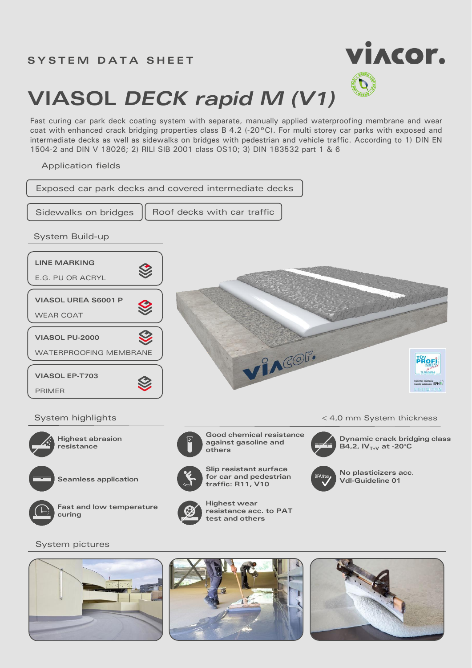

## **VIASOL** *DECK rapid M (V1)*

Fast curing car park deck coating system with separate, manually applied waterproofing membrane and wear coat with enhanced crack bridging properties class B 4.2 (-20°C). For multi storey car parks with exposed and intermediate decks as well as sidewalks on bridges with pedestrian and vehicle traffic. According to 1) DIN EN 1504-2 and DIN V 18026; 2) RILI SIB 2001 class OS10; 3) DIN 183532 part 1 & 6

Application fields